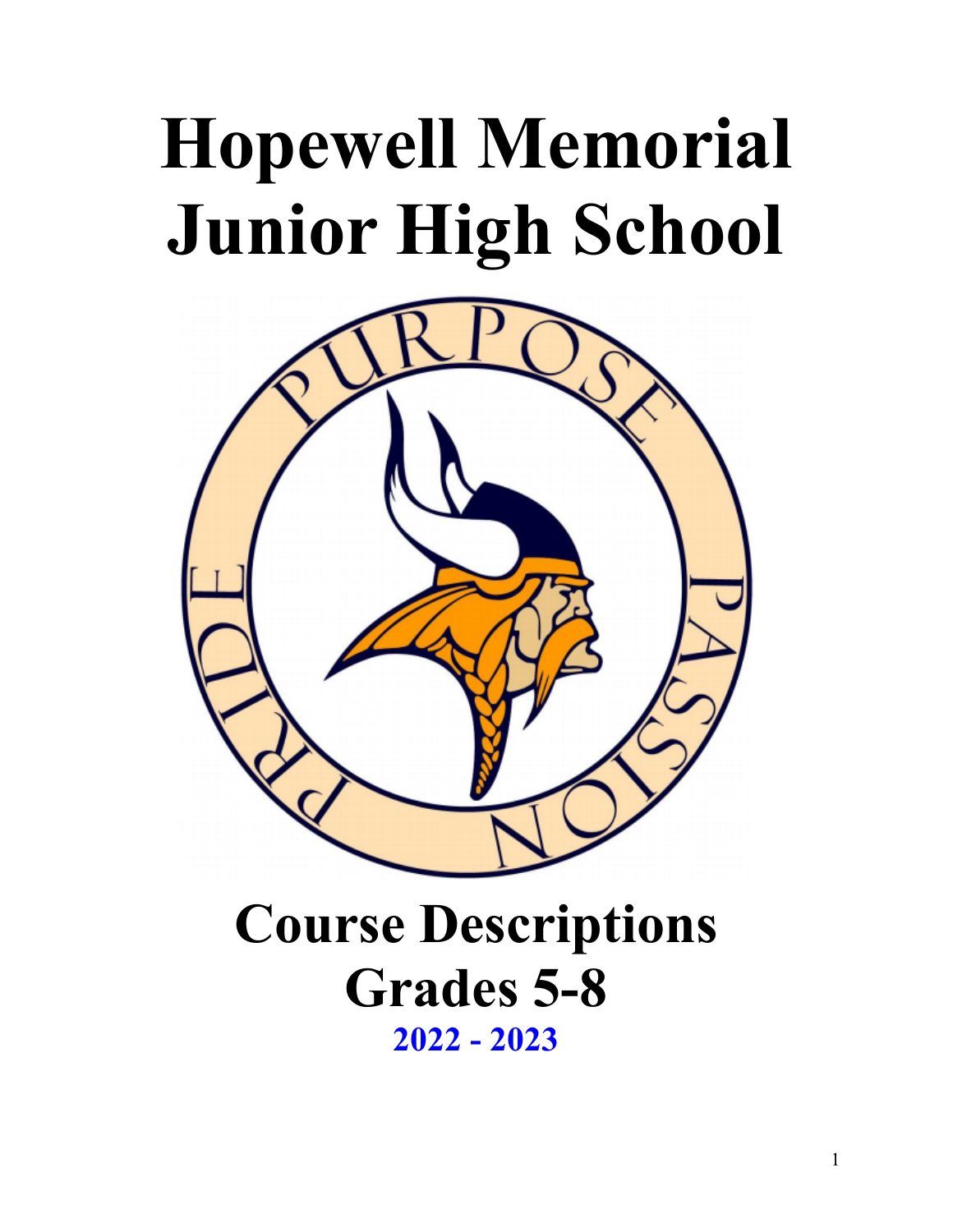# **Hopewell Memorial Junior High School**



# **Course Descriptions Grades 5-8 2022 - 2023**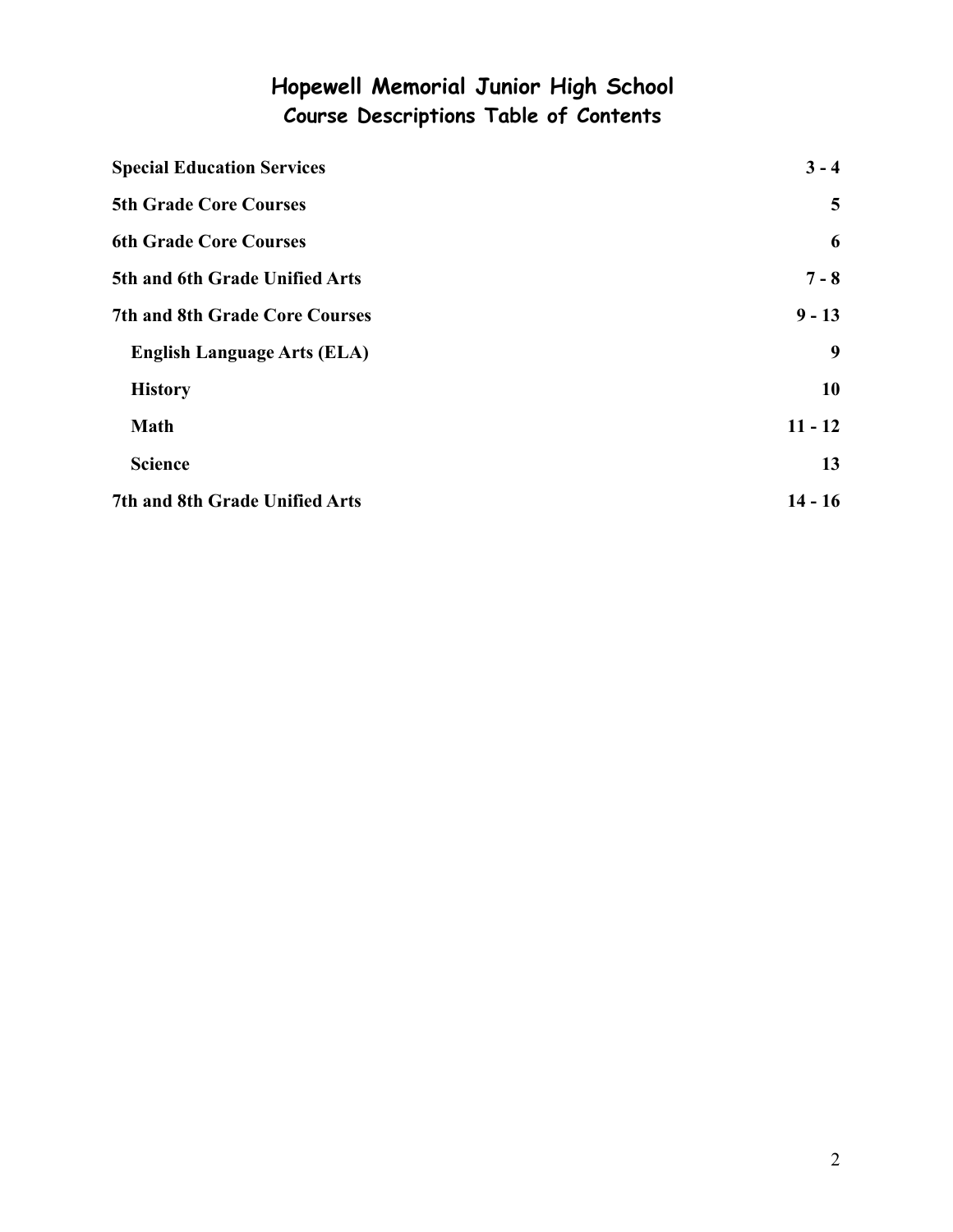# **Hopewell Memorial Junior High School Course Descriptions Table of Contents**

| <b>Special Education Services</b>     | $3 - 4$        |
|---------------------------------------|----------------|
| <b>5th Grade Core Courses</b>         | $\overline{5}$ |
| <b>6th Grade Core Courses</b>         | 6              |
| 5th and 6th Grade Unified Arts        | $7 - 8$        |
| <b>7th and 8th Grade Core Courses</b> | $9 - 13$       |
| <b>English Language Arts (ELA)</b>    | 9              |
| <b>History</b>                        | 10             |
| <b>Math</b>                           | $11 - 12$      |
| <b>Science</b>                        | 13             |
| 7th and 8th Grade Unified Arts        | $14 - 16$      |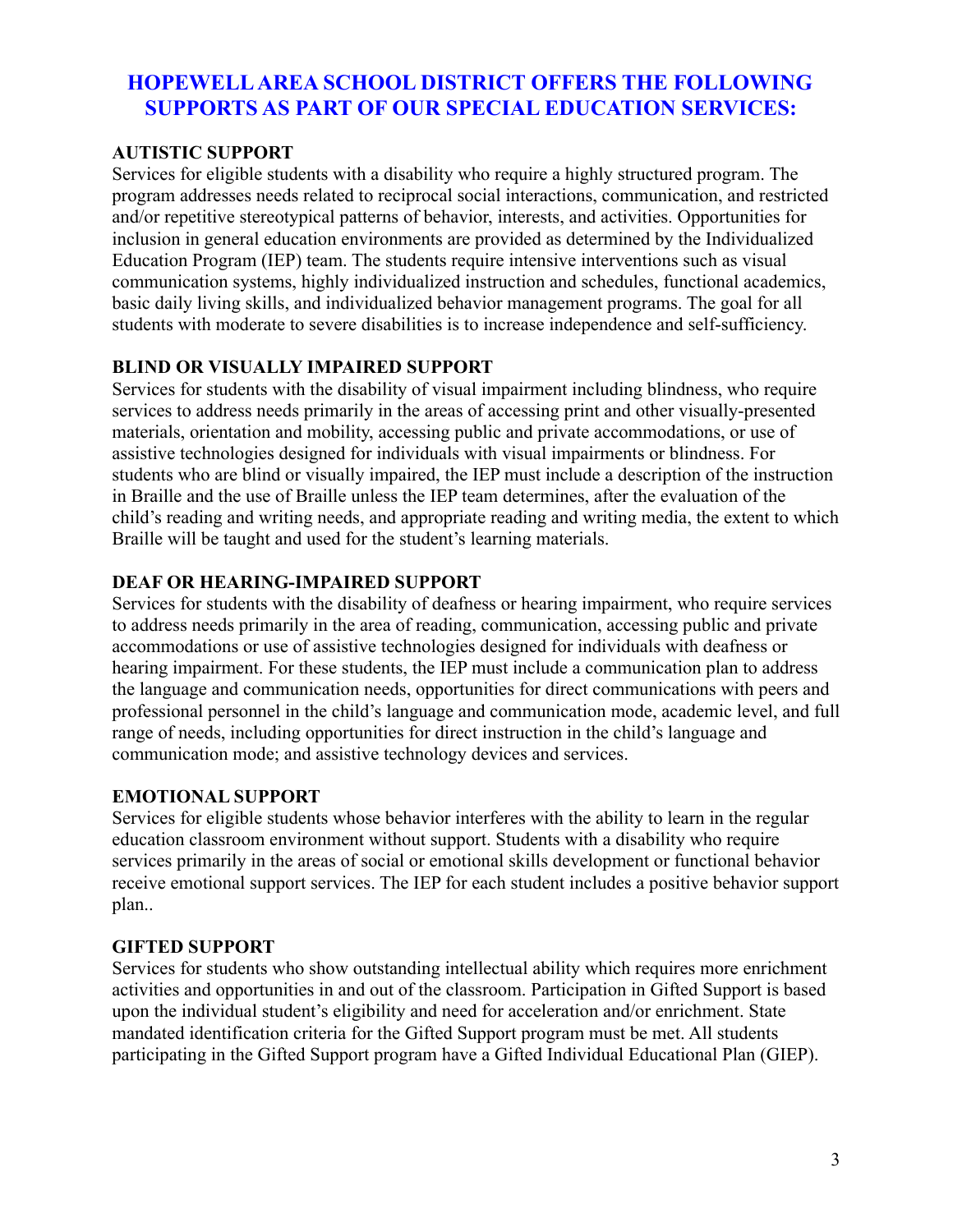# <span id="page-2-0"></span>**HOPEWELLAREA SCHOOL DISTRICT OFFERS THE FOLLOWING SUPPORTS AS PART OF OUR SPECIAL EDUCATION SERVICES:**

#### **AUTISTIC SUPPORT**

Services for eligible students with a disability who require a highly structured program. The program addresses needs related to reciprocal social interactions, communication, and restricted and/or repetitive stereotypical patterns of behavior, interests, and activities. Opportunities for inclusion in general education environments are provided as determined by the Individualized Education Program (IEP) team. The students require intensive interventions such as visual communication systems, highly individualized instruction and schedules, functional academics, basic daily living skills, and individualized behavior management programs. The goal for all students with moderate to severe disabilities is to increase independence and self-sufficiency.

#### **BLIND OR VISUALLY IMPAIRED SUPPORT**

Services for students with the disability of visual impairment including blindness, who require services to address needs primarily in the areas of accessing print and other visually-presented materials, orientation and mobility, accessing public and private accommodations, or use of assistive technologies designed for individuals with visual impairments or blindness. For students who are blind or visually impaired, the IEP must include a description of the instruction in Braille and the use of Braille unless the IEP team determines, after the evaluation of the child's reading and writing needs, and appropriate reading and writing media, the extent to which Braille will be taught and used for the student's learning materials.

# **DEAF OR HEARING-IMPAIRED SUPPORT**

Services for students with the disability of deafness or hearing impairment, who require services to address needs primarily in the area of reading, communication, accessing public and private accommodations or use of assistive technologies designed for individuals with deafness or hearing impairment. For these students, the IEP must include a communication plan to address the language and communication needs, opportunities for direct communications with peers and professional personnel in the child's language and communication mode, academic level, and full range of needs, including opportunities for direct instruction in the child's language and communication mode; and assistive technology devices and services.

#### **EMOTIONAL SUPPORT**

Services for eligible students whose behavior interferes with the ability to learn in the regular education classroom environment without support. Students with a disability who require services primarily in the areas of social or emotional skills development or functional behavior receive emotional support services. The IEP for each student includes a positive behavior support plan..

#### **GIFTED SUPPORT**

Services for students who show outstanding intellectual ability which requires more enrichment activities and opportunities in and out of the classroom. Participation in Gifted Support is based upon the individual student's eligibility and need for acceleration and/or enrichment. State mandated identification criteria for the Gifted Support program must be met. All students participating in the Gifted Support program have a Gifted Individual Educational Plan (GIEP).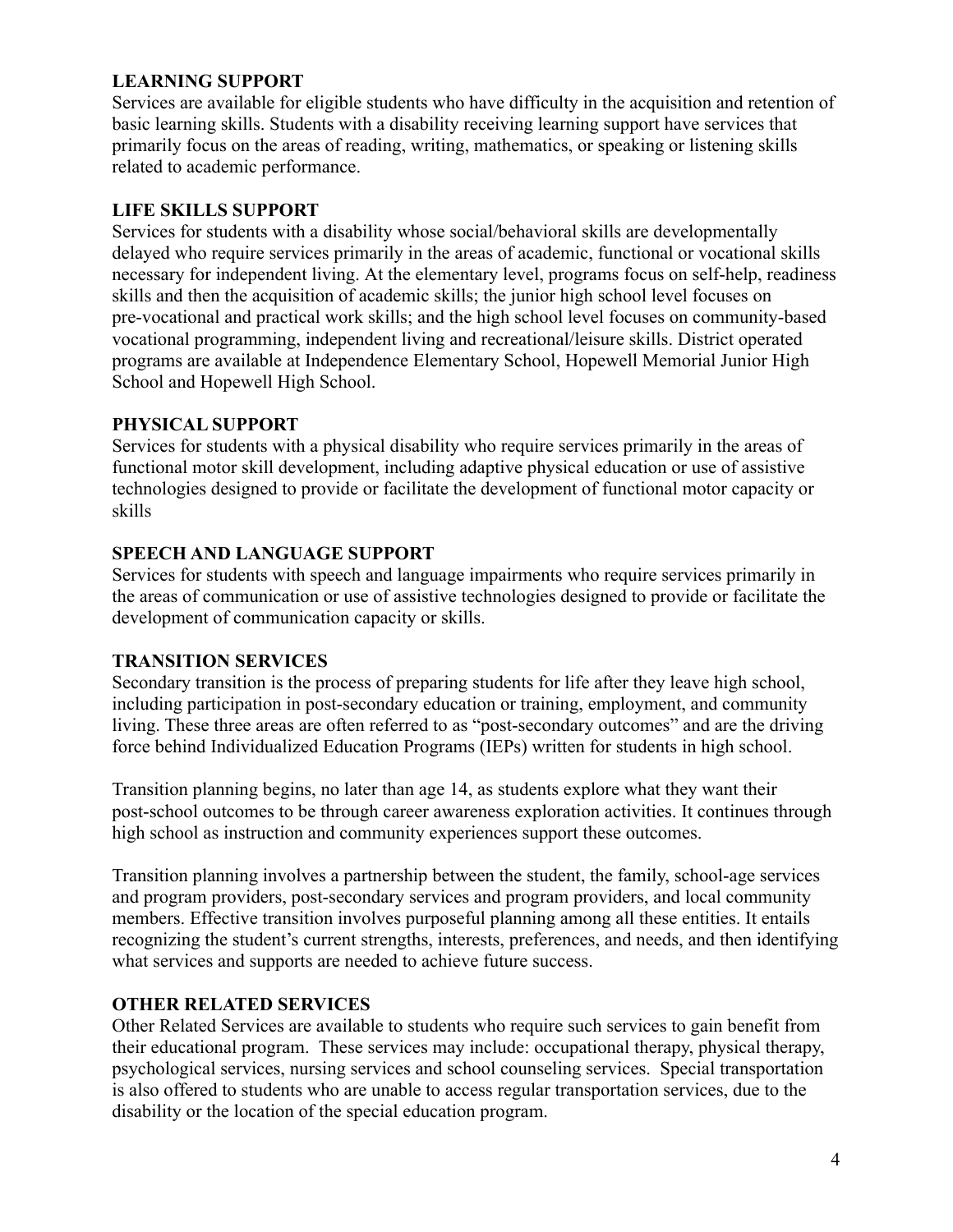#### **LEARNING SUPPORT**

Services are available for eligible students who have difficulty in the acquisition and retention of basic learning skills. Students with a disability receiving learning support have services that primarily focus on the areas of reading, writing, mathematics, or speaking or listening skills related to academic performance.

#### **LIFE SKILLS SUPPORT**

Services for students with a disability whose social/behavioral skills are developmentally delayed who require services primarily in the areas of academic, functional or vocational skills necessary for independent living. At the elementary level, programs focus on self-help, readiness skills and then the acquisition of academic skills; the junior high school level focuses on pre-vocational and practical work skills; and the high school level focuses on community-based vocational programming, independent living and recreational/leisure skills. District operated programs are available at Independence Elementary School, Hopewell Memorial Junior High School and Hopewell High School.

#### **PHYSICAL SUPPORT**

Services for students with a physical disability who require services primarily in the areas of functional motor skill development, including adaptive physical education or use of assistive technologies designed to provide or facilitate the development of functional motor capacity or skills

#### **SPEECH AND LANGUAGE SUPPORT**

Services for students with speech and language impairments who require services primarily in the areas of communication or use of assistive technologies designed to provide or facilitate the development of communication capacity or skills.

#### **TRANSITION SERVICES**

Secondary transition is the process of preparing students for life after they leave high school, including participation in post-secondary education or training, employment, and community living. These three areas are often referred to as "post-secondary outcomes" and are the driving force behind Individualized Education Programs (IEPs) written for students in high school.

Transition planning begins, no later than age 14, as students explore what they want their post-school outcomes to be through career awareness exploration activities. It continues through high school as instruction and community experiences support these outcomes.

Transition planning involves a partnership between the student, the family, school-age services and program providers, post-secondary services and program providers, and local community members. Effective transition involves purposeful planning among all these entities. It entails recognizing the student's current strengths, interests, preferences, and needs, and then identifying what services and supports are needed to achieve future success.

#### **OTHER RELATED SERVICES**

Other Related Services are available to students who require such services to gain benefit from their educational program. These services may include: occupational therapy, physical therapy, psychological services, nursing services and school counseling services. Special transportation is also offered to students who are unable to access regular transportation services, due to the disability or the location of the special education program.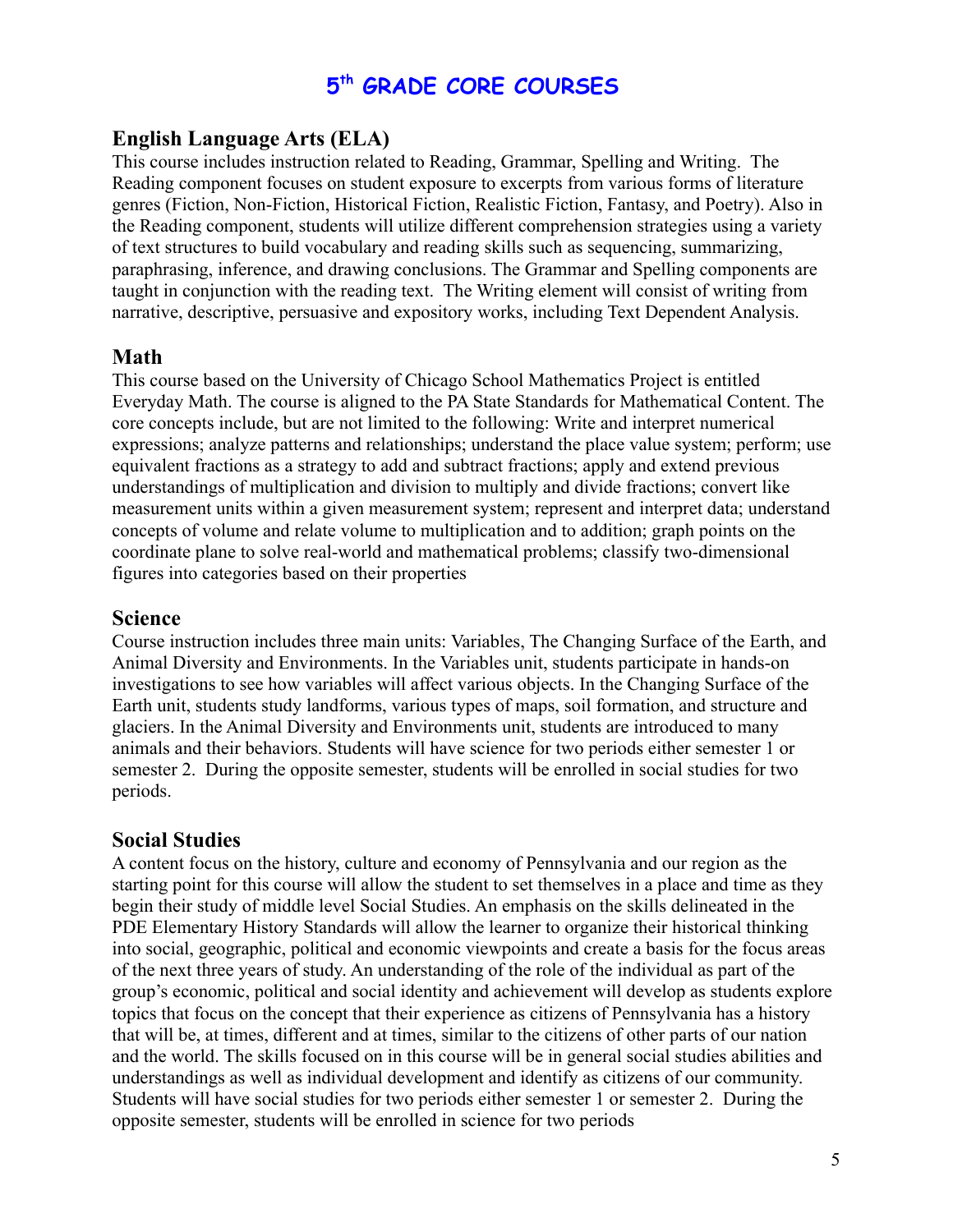# **5 th GRADE CORE COURSES**

# <span id="page-4-0"></span>**English Language Arts (ELA)**

This course includes instruction related to Reading, Grammar, Spelling and Writing. The Reading component focuses on student exposure to excerpts from various forms of literature genres (Fiction, Non-Fiction, Historical Fiction, Realistic Fiction, Fantasy, and Poetry). Also in the Reading component, students will utilize different comprehension strategies using a variety of text structures to build vocabulary and reading skills such as sequencing, summarizing, paraphrasing, inference, and drawing conclusions. The Grammar and Spelling components are taught in conjunction with the reading text. The Writing element will consist of writing from narrative, descriptive, persuasive and expository works, including Text Dependent Analysis.

# **Math**

This course based on the University of Chicago School Mathematics Project is entitled Everyday Math. The course is aligned to the PA State Standards for Mathematical Content. The core concepts include, but are not limited to the following: Write and interpret numerical expressions; analyze patterns and relationships; understand the place value system; perform; use equivalent fractions as a strategy to add and subtract fractions; apply and extend previous understandings of multiplication and division to multiply and divide fractions; convert like measurement units within a given measurement system; represent and interpret data; understand concepts of volume and relate volume to multiplication and to addition; graph points on the coordinate plane to solve real-world and mathematical problems; classify two-dimensional figures into categories based on their properties

#### **Science**

Course instruction includes three main units: Variables, The Changing Surface of the Earth, and Animal Diversity and Environments. In the Variables unit, students participate in hands-on investigations to see how variables will affect various objects. In the Changing Surface of the Earth unit, students study landforms, various types of maps, soil formation, and structure and glaciers. In the Animal Diversity and Environments unit, students are introduced to many animals and their behaviors. Students will have science for two periods either semester 1 or semester 2. During the opposite semester, students will be enrolled in social studies for two periods.

# **Social Studies**

A content focus on the history, culture and economy of Pennsylvania and our region as the starting point for this course will allow the student to set themselves in a place and time as they begin their study of middle level Social Studies. An emphasis on the skills delineated in the PDE Elementary History Standards will allow the learner to organize their historical thinking into social, geographic, political and economic viewpoints and create a basis for the focus areas of the next three years of study. An understanding of the role of the individual as part of the group's economic, political and social identity and achievement will develop as students explore topics that focus on the concept that their experience as citizens of Pennsylvania has a history that will be, at times, different and at times, similar to the citizens of other parts of our nation and the world. The skills focused on in this course will be in general social studies abilities and understandings as well as individual development and identify as citizens of our community. Students will have social studies for two periods either semester 1 or semester 2. During the opposite semester, students will be enrolled in science for two periods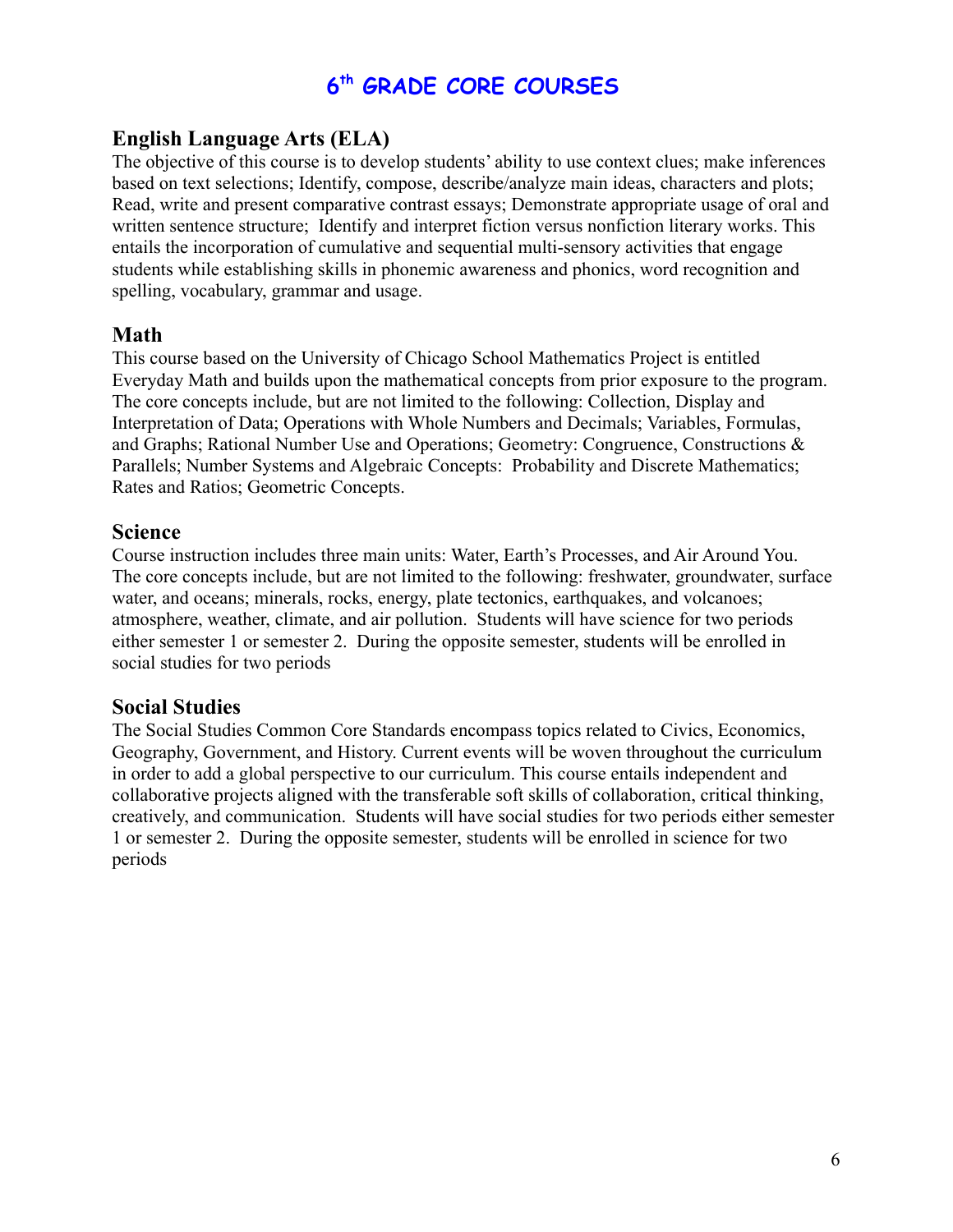# **6 th GRADE CORE COURSES**

# <span id="page-5-0"></span>**English Language Arts (ELA)**

The objective of this course is to develop students' ability to use context clues; make inferences based on text selections; Identify, compose, describe/analyze main ideas, characters and plots; Read, write and present comparative contrast essays; Demonstrate appropriate usage of oral and written sentence structure; Identify and interpret fiction versus nonfiction literary works. This entails the incorporation of cumulative and sequential multi-sensory activities that engage students while establishing skills in phonemic awareness and phonics, word recognition and spelling, vocabulary, grammar and usage.

# **Math**

This course based on the University of Chicago School Mathematics Project is entitled Everyday Math and builds upon the mathematical concepts from prior exposure to the program. The core concepts include, but are not limited to the following: Collection, Display and Interpretation of Data; Operations with Whole Numbers and Decimals; Variables, Formulas, and Graphs; Rational Number Use and Operations; Geometry: Congruence, Constructions & Parallels; Number Systems and Algebraic Concepts: Probability and Discrete Mathematics; Rates and Ratios; Geometric Concepts.

# **Science**

Course instruction includes three main units: Water, Earth's Processes, and Air Around You. The core concepts include, but are not limited to the following: freshwater, groundwater, surface water, and oceans; minerals, rocks, energy, plate tectonics, earthquakes, and volcanoes; atmosphere, weather, climate, and air pollution. Students will have science for two periods either semester 1 or semester 2. During the opposite semester, students will be enrolled in social studies for two periods

# **Social Studies**

<span id="page-5-1"></span>The Social Studies Common Core Standards encompass topics related to Civics, Economics, Geography, Government, and History. Current events will be woven throughout the curriculum in order to add a global perspective to our curriculum. This course entails independent and collaborative projects aligned with the transferable soft skills of collaboration, critical thinking, creatively, and communication. Students will have social studies for two periods either semester 1 or semester 2. During the opposite semester, students will be enrolled in science for two periods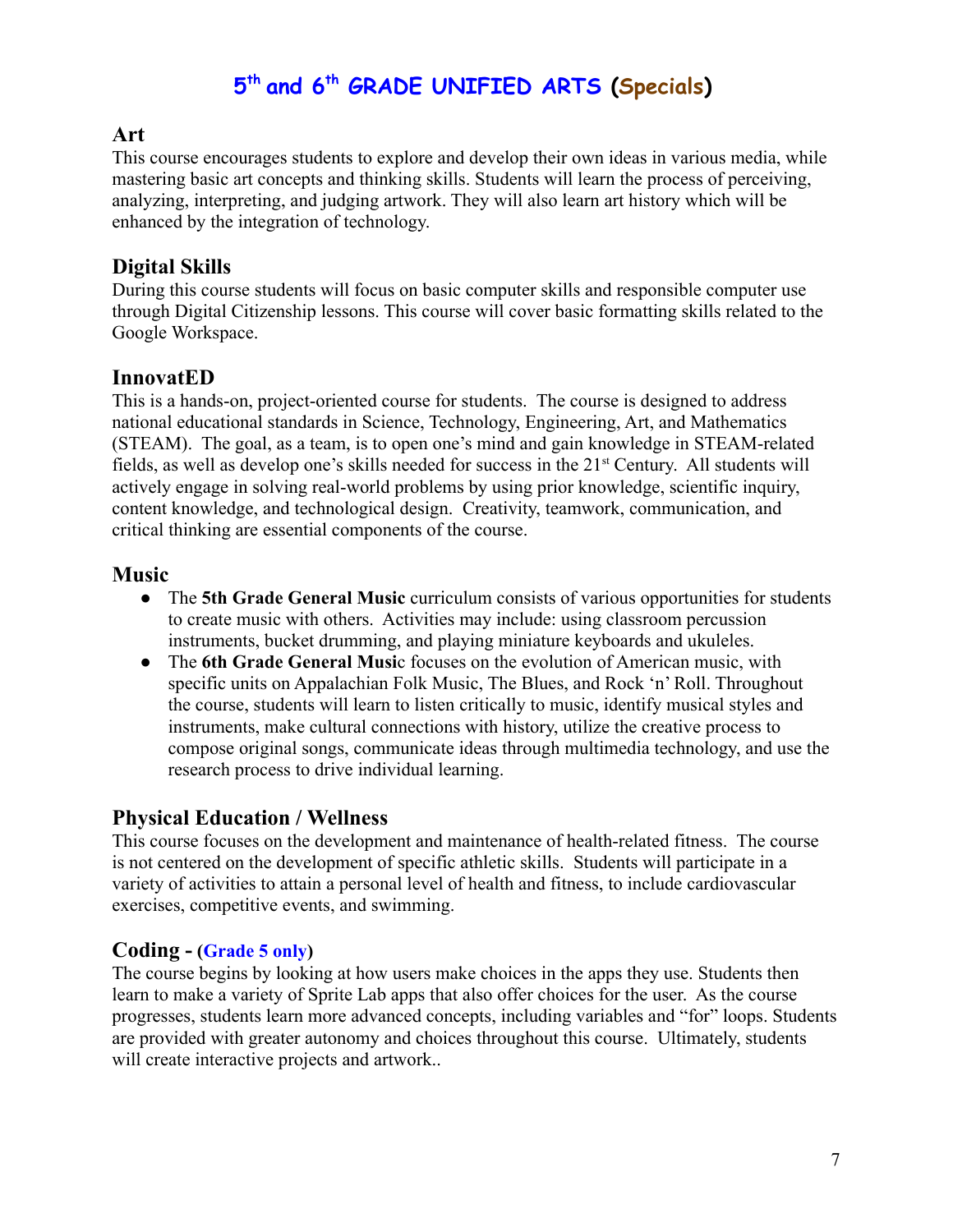# **5 th and 6 th GRADE UNIFIED ARTS (Specials)**

# **Art**

This course encourages students to explore and develop their own ideas in various media, while mastering basic art concepts and thinking skills. Students will learn the process of perceiving, analyzing, interpreting, and judging artwork. They will also learn art history which will be enhanced by the integration of technology.

# **Digital Skills**

During this course students will focus on basic computer skills and responsible computer use through Digital Citizenship lessons. This course will cover basic formatting skills related to the Google Workspace.

# **InnovatED**

This is a hands-on, project-oriented course for students. The course is designed to address national educational standards in Science, Technology, Engineering, Art, and Mathematics (STEAM). The goal, as a team, is to open one's mind and gain knowledge in STEAM-related fields, as well as develop one's skills needed for success in the 21<sup>st</sup> Century. All students will actively engage in solving real-world problems by using prior knowledge, scientific inquiry, content knowledge, and technological design. Creativity, teamwork, communication, and critical thinking are essential components of the course.

# **Music**

- The **5th Grade General Music** curriculum consists of various opportunities for students to create music with others. Activities may include: using classroom percussion instruments, bucket drumming, and playing miniature keyboards and ukuleles.
- The **6th Grade General Musi**c focuses on the evolution of American music, with specific units on Appalachian Folk Music, The Blues, and Rock 'n' Roll. Throughout the course, students will learn to listen critically to music, identify musical styles and instruments, make cultural connections with history, utilize the creative process to compose original songs, communicate ideas through multimedia technology, and use the research process to drive individual learning.

# **Physical Education / Wellness**

This course focuses on the development and maintenance of health-related fitness. The course is not centered on the development of specific athletic skills. Students will participate in a variety of activities to attain a personal level of health and fitness, to include cardiovascular exercises, competitive events, and swimming.

# **Coding - (Grade 5 only)**

The course begins by looking at how users make choices in the apps they use. Students then learn to make a variety of Sprite Lab apps that also offer choices for the user. As the course progresses, students learn more advanced concepts, including variables and "for" loops. Students are provided with greater autonomy and choices throughout this course. Ultimately, students will create interactive projects and artwork..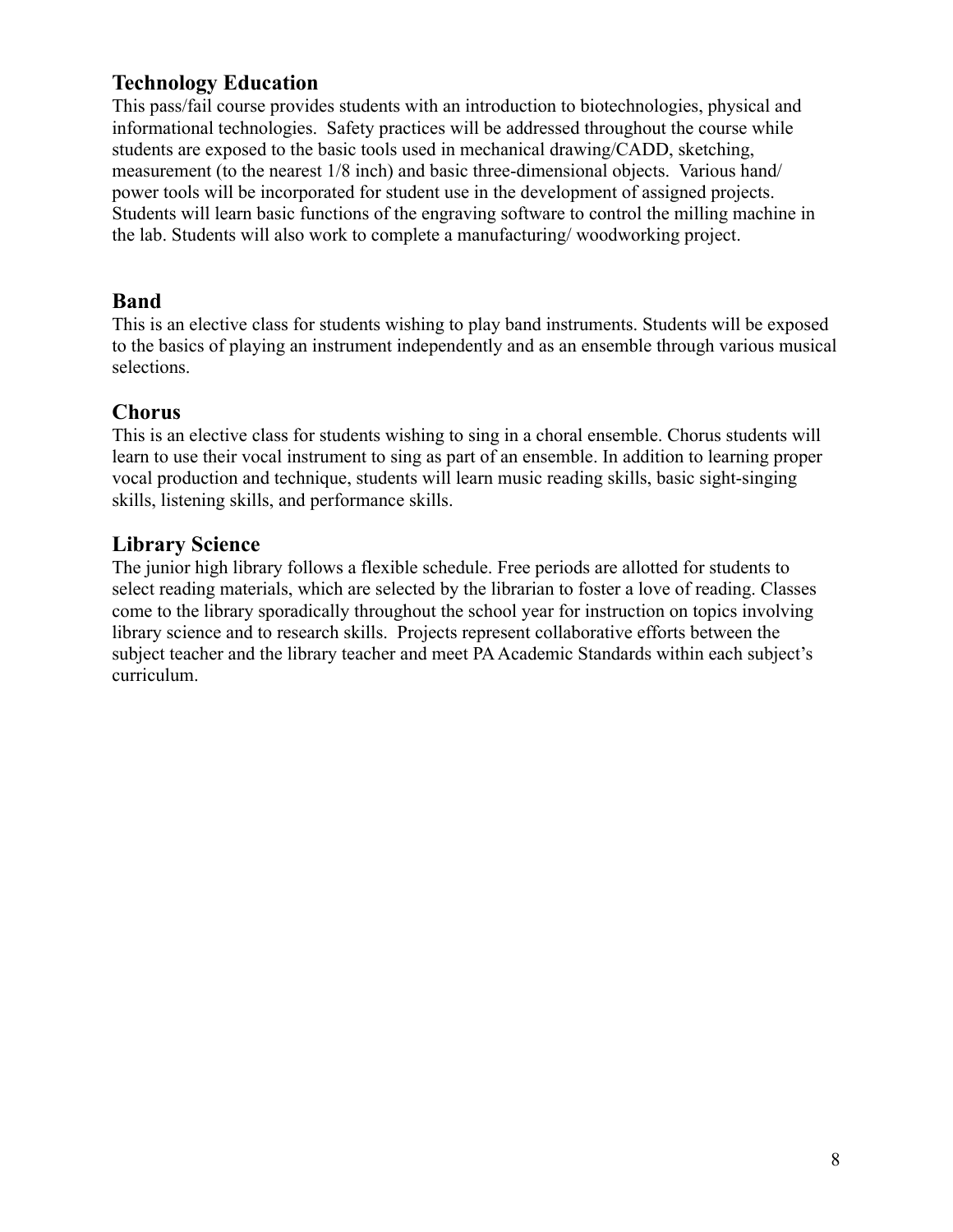# **Technology Education**

This pass/fail course provides students with an introduction to biotechnologies, physical and informational technologies. Safety practices will be addressed throughout the course while students are exposed to the basic tools used in mechanical drawing/CADD, sketching, measurement (to the nearest 1/8 inch) and basic three-dimensional objects. Various hand/ power tools will be incorporated for student use in the development of assigned projects. Students will learn basic functions of the engraving software to control the milling machine in the lab. Students will also work to complete a manufacturing/ woodworking project.

# **Band**

This is an elective class for students wishing to play band instruments. Students will be exposed to the basics of playing an instrument independently and as an ensemble through various musical selections.

# **Chorus**

This is an elective class for students wishing to sing in a choral ensemble. Chorus students will learn to use their vocal instrument to sing as part of an ensemble. In addition to learning proper vocal production and technique, students will learn music reading skills, basic sight-singing skills, listening skills, and performance skills.

# **Library Science**

The junior high library follows a flexible schedule. Free periods are allotted for students to select reading materials, which are selected by the librarian to foster a love of reading. Classes come to the library sporadically throughout the school year for instruction on topics involving library science and to research skills. Projects represent collaborative efforts between the subject teacher and the library teacher and meet PA Academic Standards within each subject's curriculum.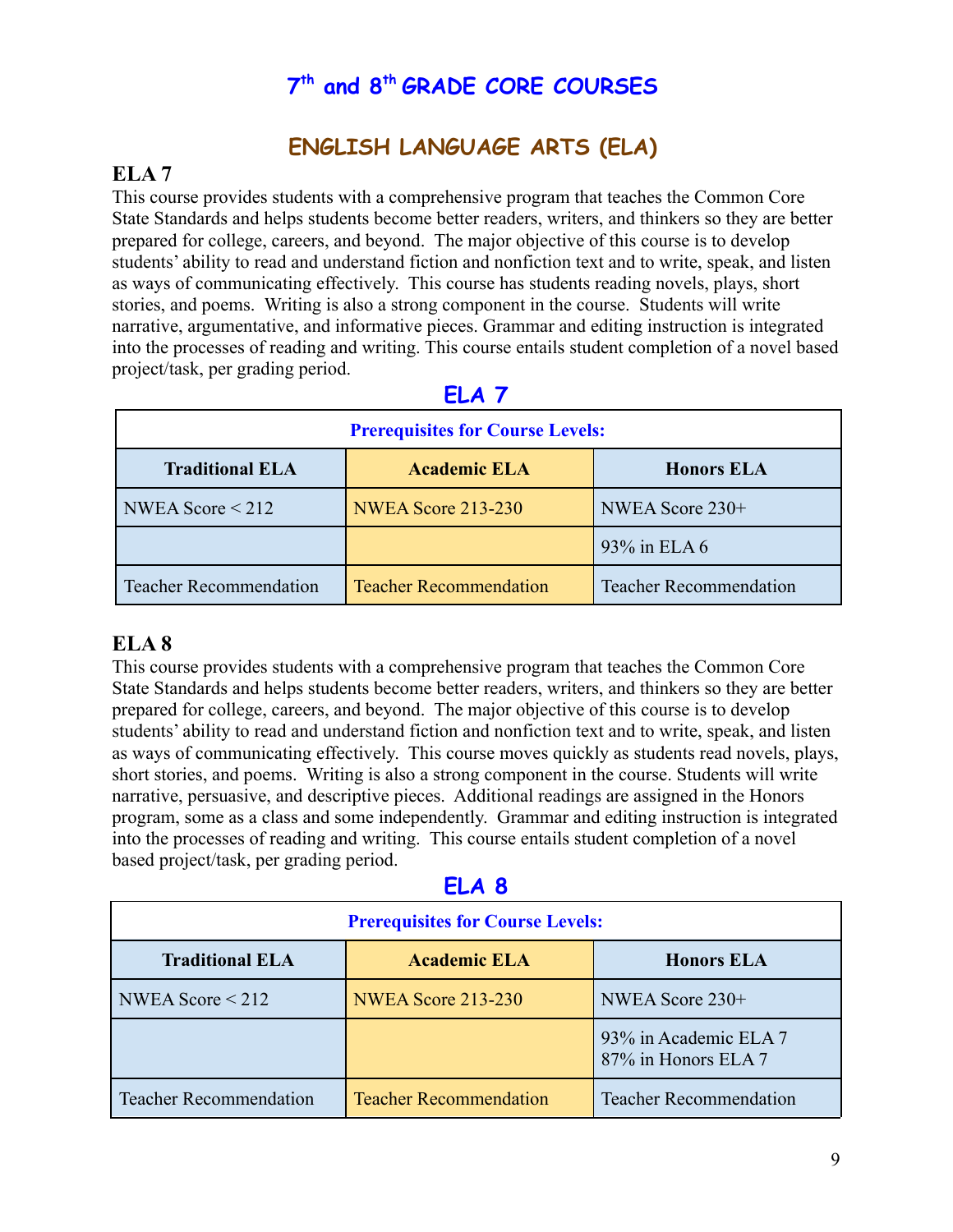# **7 th and 8 th GRADE CORE COURSES**

# **ENGLISH LANGUAGE ARTS (ELA)**

# <span id="page-8-1"></span><span id="page-8-0"></span>**ELA 7**

This course provides students with a comprehensive program that teaches the Common Core State Standards and helps students become better readers, writers, and thinkers so they are better prepared for college, careers, and beyond. The major objective of this course is to develop students' ability to read and understand fiction and nonfiction text and to write, speak, and listen as ways of communicating effectively. This course has students reading novels, plays, short stories, and poems. Writing is also a strong component in the course. Students will write narrative, argumentative, and informative pieces. Grammar and editing instruction is integrated into the processes of reading and writing. This course entails student completion of a novel based project/task, per grading period.

| <b>Prerequisites for Course Levels:</b> |                               |                               |  |
|-----------------------------------------|-------------------------------|-------------------------------|--|
| <b>Traditional ELA</b>                  | <b>Academic ELA</b>           | <b>Honors ELA</b>             |  |
| NWEA Score $<$ 212                      | <b>NWEA Score 213-230</b>     | NWEA Score 230+               |  |
|                                         |                               | 93% in ELA 6                  |  |
| <b>Teacher Recommendation</b>           | <b>Teacher Recommendation</b> | <b>Teacher Recommendation</b> |  |

# **ELA 7**

# **ELA 8**

This course provides students with a comprehensive program that teaches the Common Core State Standards and helps students become better readers, writers, and thinkers so they are better prepared for college, careers, and beyond. The major objective of this course is to develop students' ability to read and understand fiction and nonfiction text and to write, speak, and listen as ways of communicating effectively. This course moves quickly as students read novels, plays, short stories, and poems. Writing is also a strong component in the course. Students will write narrative, persuasive, and descriptive pieces. Additional readings are assigned in the Honors program, some as a class and some independently. Grammar and editing instruction is integrated into the processes of reading and writing. This course entails student completion of a novel based project/task, per grading period.

| × | ۰ |  |
|---|---|--|

| <b>Prerequisites for Course Levels:</b> |                               |                                              |  |
|-----------------------------------------|-------------------------------|----------------------------------------------|--|
| <b>Traditional ELA</b>                  | <b>Academic ELA</b>           | <b>Honors ELA</b>                            |  |
| NWEA Score $\leq$ 212                   | <b>NWEA Score 213-230</b>     | NWEA Score 230+                              |  |
|                                         |                               | 93% in Academic ELA 7<br>87% in Honors ELA 7 |  |
| <b>Teacher Recommendation</b>           | <b>Teacher Recommendation</b> | <b>Teacher Recommendation</b>                |  |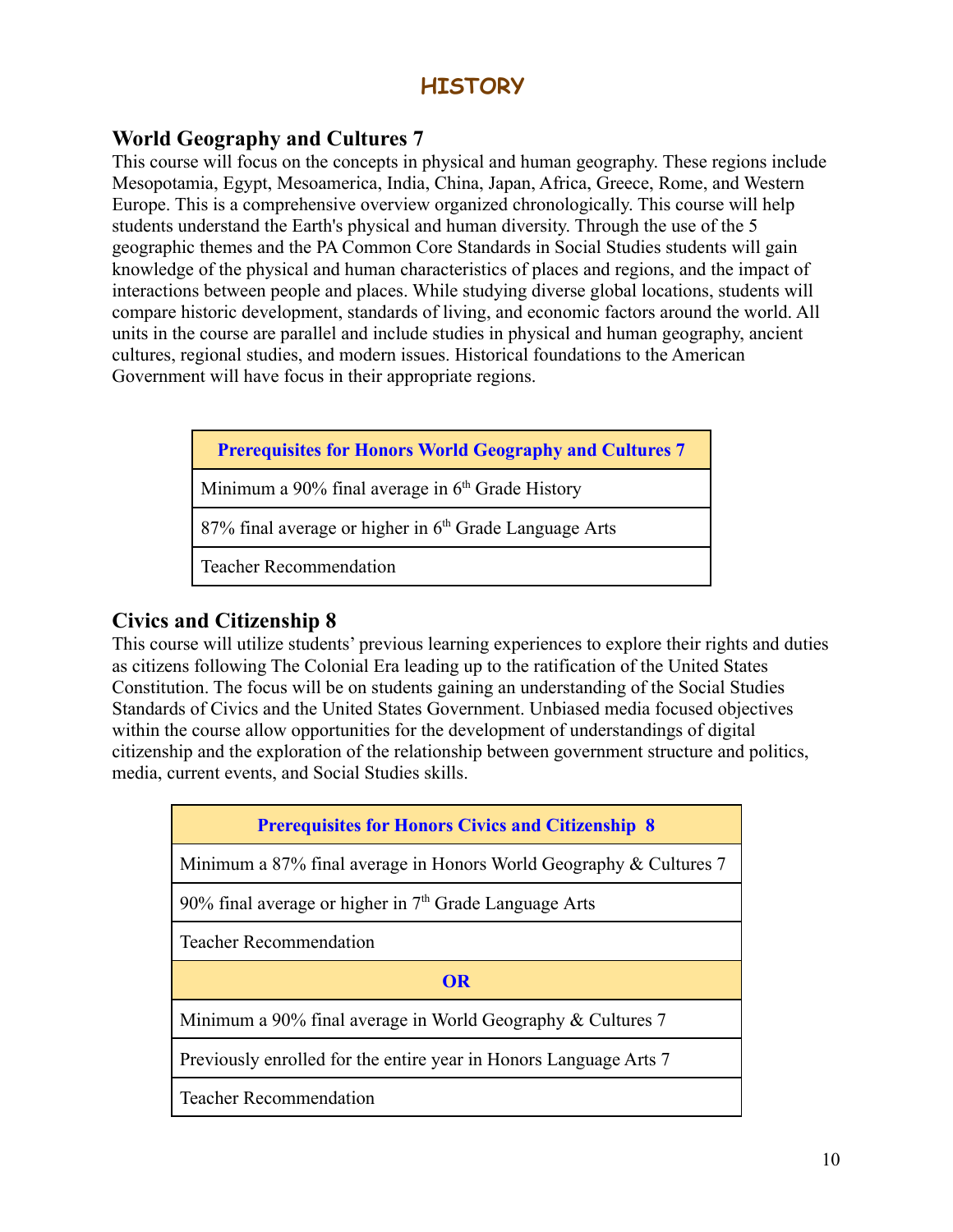# **HISTORY**

# <span id="page-9-0"></span>**World Geography and Cultures 7**

This course will focus on the concepts in physical and human geography. These regions include Mesopotamia, Egypt, Mesoamerica, India, China, Japan, Africa, Greece, Rome, and Western Europe. This is a comprehensive overview organized chronologically. This course will help students understand the Earth's physical and human diversity. Through the use of the 5 geographic themes and the PA Common Core Standards in Social Studies students will gain knowledge of the physical and human characteristics of places and regions, and the impact of interactions between people and places. While studying diverse global locations, students will compare historic development, standards of living, and economic factors around the world. All units in the course are parallel and include studies in physical and human geography, ancient cultures, regional studies, and modern issues. Historical foundations to the American Government will have focus in their appropriate regions.

|  |  |  |  | <b>Prerequisites for Honors World Geography and Cultures 7</b> |
|--|--|--|--|----------------------------------------------------------------|
|--|--|--|--|----------------------------------------------------------------|

Minimum a  $90\%$  final average in  $6<sup>th</sup>$  Grade History

 $87\%$  final average or higher in  $6<sup>th</sup>$  Grade Language Arts

Teacher Recommendation

# **Civics and Citizenship 8**

This course will utilize students' previous learning experiences to explore their rights and duties as citizens following The Colonial Era leading up to the ratification of the United States Constitution. The focus will be on students gaining an understanding of the Social Studies Standards of Civics and the United States Government. Unbiased media focused objectives within the course allow opportunities for the development of understandings of digital citizenship and the exploration of the relationship between government structure and politics, media, current events, and Social Studies skills.

| <b>Prerequisites for Honors Civics and Citizenship 8</b>           |
|--------------------------------------------------------------------|
| Minimum a 87% final average in Honors World Geography & Cultures 7 |
| 90% final average or higher in $7th$ Grade Language Arts           |
| <b>Teacher Recommendation</b>                                      |
| OR                                                                 |
| Minimum a 90% final average in World Geography $&$ Cultures 7      |
| Previously enrolled for the entire year in Honors Language Arts 7  |
| <b>Teacher Recommendation</b>                                      |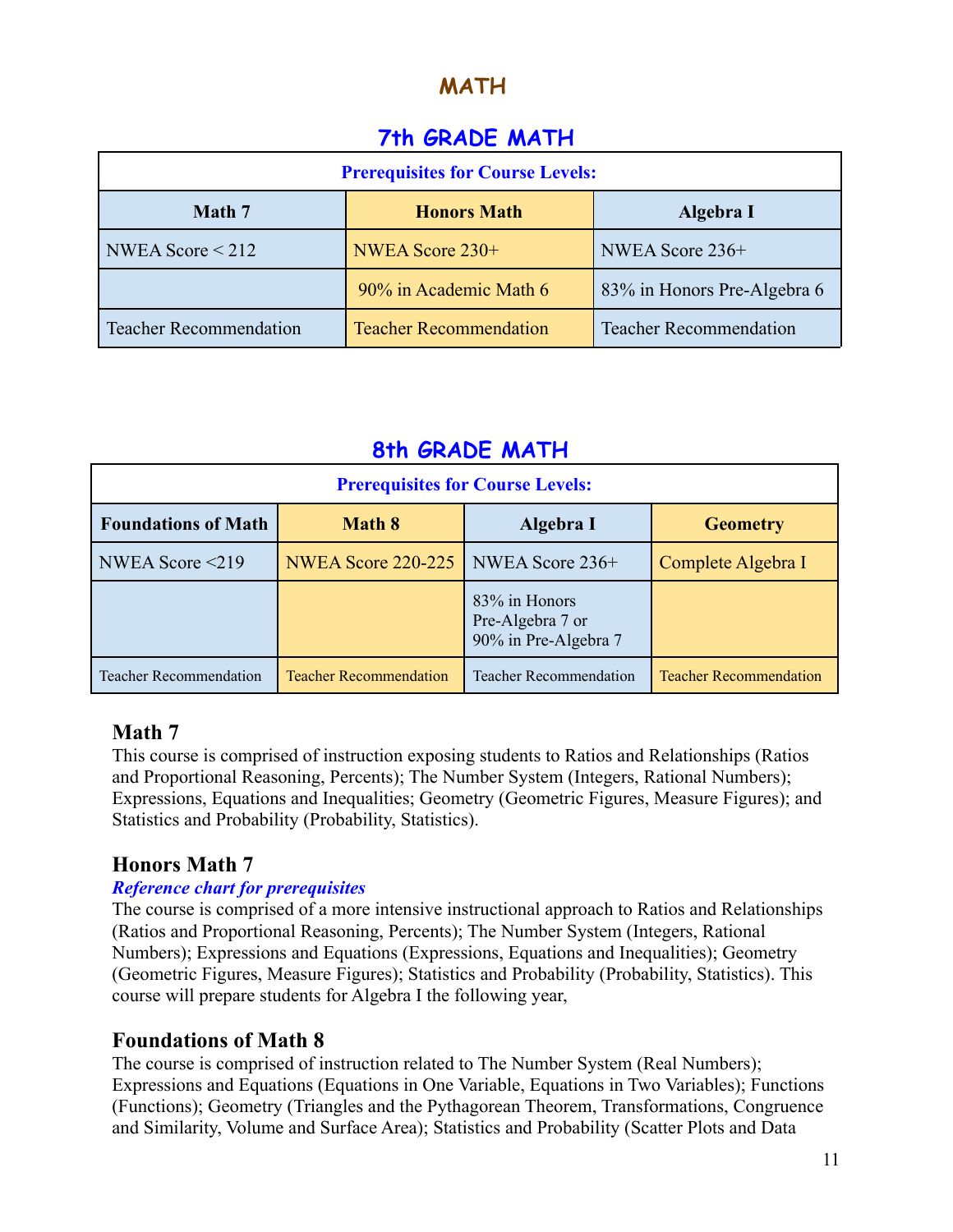# **MATH**

# **7th GRADE MATH**

| <b>Prerequisites for Course Levels:</b> |                               |                               |  |
|-----------------------------------------|-------------------------------|-------------------------------|--|
| Math 7<br><b>Honors Math</b>            |                               | Algebra I                     |  |
| NWEA Score $\leq$ 212                   | NWEA Score 230+               | NWEA Score 236+               |  |
|                                         | 90% in Academic Math 6        | 83% in Honors Pre-Algebra 6   |  |
| <b>Teacher Recommendation</b>           | <b>Teacher Recommendation</b> | <b>Teacher Recommendation</b> |  |

# **8th GRADE MATH**

| <b>Prerequisites for Course Levels:</b> |                                             |                                                           |                               |
|-----------------------------------------|---------------------------------------------|-----------------------------------------------------------|-------------------------------|
| <b>Foundations of Math</b>              | <b>Math 8</b>                               | Algebra I                                                 | <b>Geometry</b>               |
| NWEA Score $\leq$ 219                   | <b>NWEA Score 220-225   NWEA Score 236+</b> |                                                           | Complete Algebra I            |
|                                         |                                             | 83% in Honors<br>Pre-Algebra 7 or<br>90% in Pre-Algebra 7 |                               |
| <b>Teacher Recommendation</b>           | <b>Teacher Recommendation</b>               | <b>Teacher Recommendation</b>                             | <b>Teacher Recommendation</b> |

# **Math 7**

This course is comprised of instruction exposing students to Ratios and Relationships (Ratios and Proportional Reasoning, Percents); The Number System (Integers, Rational Numbers); Expressions, Equations and Inequalities; Geometry (Geometric Figures, Measure Figures); and Statistics and Probability (Probability, Statistics).

# **Honors Math 7**

# *Reference chart for prerequisites*

The course is comprised of a more intensive instructional approach to Ratios and Relationships (Ratios and Proportional Reasoning, Percents); The Number System (Integers, Rational Numbers); Expressions and Equations (Expressions, Equations and Inequalities); Geometry (Geometric Figures, Measure Figures); Statistics and Probability (Probability, Statistics). This course will prepare students for Algebra I the following year,

# **Foundations of Math 8**

The course is comprised of instruction related to The Number System (Real Numbers); Expressions and Equations (Equations in One Variable, Equations in Two Variables); Functions (Functions); Geometry (Triangles and the Pythagorean Theorem, Transformations, Congruence and Similarity, Volume and Surface Area); Statistics and Probability (Scatter Plots and Data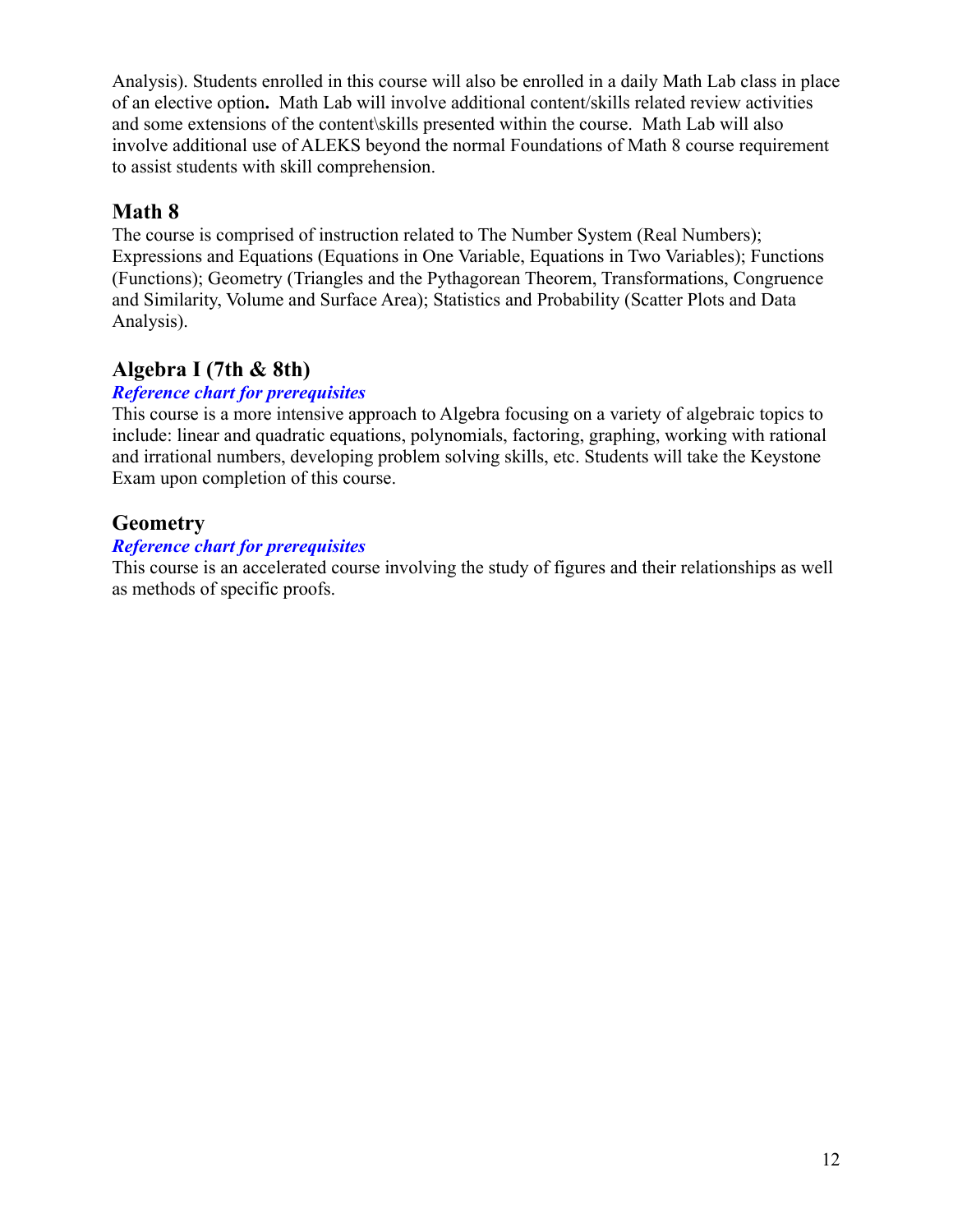Analysis). Students enrolled in this course will also be enrolled in a daily Math Lab class in place of an elective option**.** Math Lab will involve additional content/skills related review activities and some extensions of the content\skills presented within the course. Math Lab will also involve additional use of ALEKS beyond the normal Foundations of Math 8 course requirement to assist students with skill comprehension.

# **Math 8**

The course is comprised of instruction related to The Number System (Real Numbers); Expressions and Equations (Equations in One Variable, Equations in Two Variables); Functions (Functions); Geometry (Triangles and the Pythagorean Theorem, Transformations, Congruence and Similarity, Volume and Surface Area); Statistics and Probability (Scatter Plots and Data Analysis).

# **Algebra I (7th & 8th)**

# *Reference chart for prerequisites*

This course is a more intensive approach to Algebra focusing on a variety of algebraic topics to include: linear and quadratic equations, polynomials, factoring, graphing, working with rational and irrational numbers, developing problem solving skills, etc. Students will take the Keystone Exam upon completion of this course.

# **Geometry**

#### *Reference chart for prerequisites*

This course is an accelerated course involving the study of figures and their relationships as well as methods of specific proofs.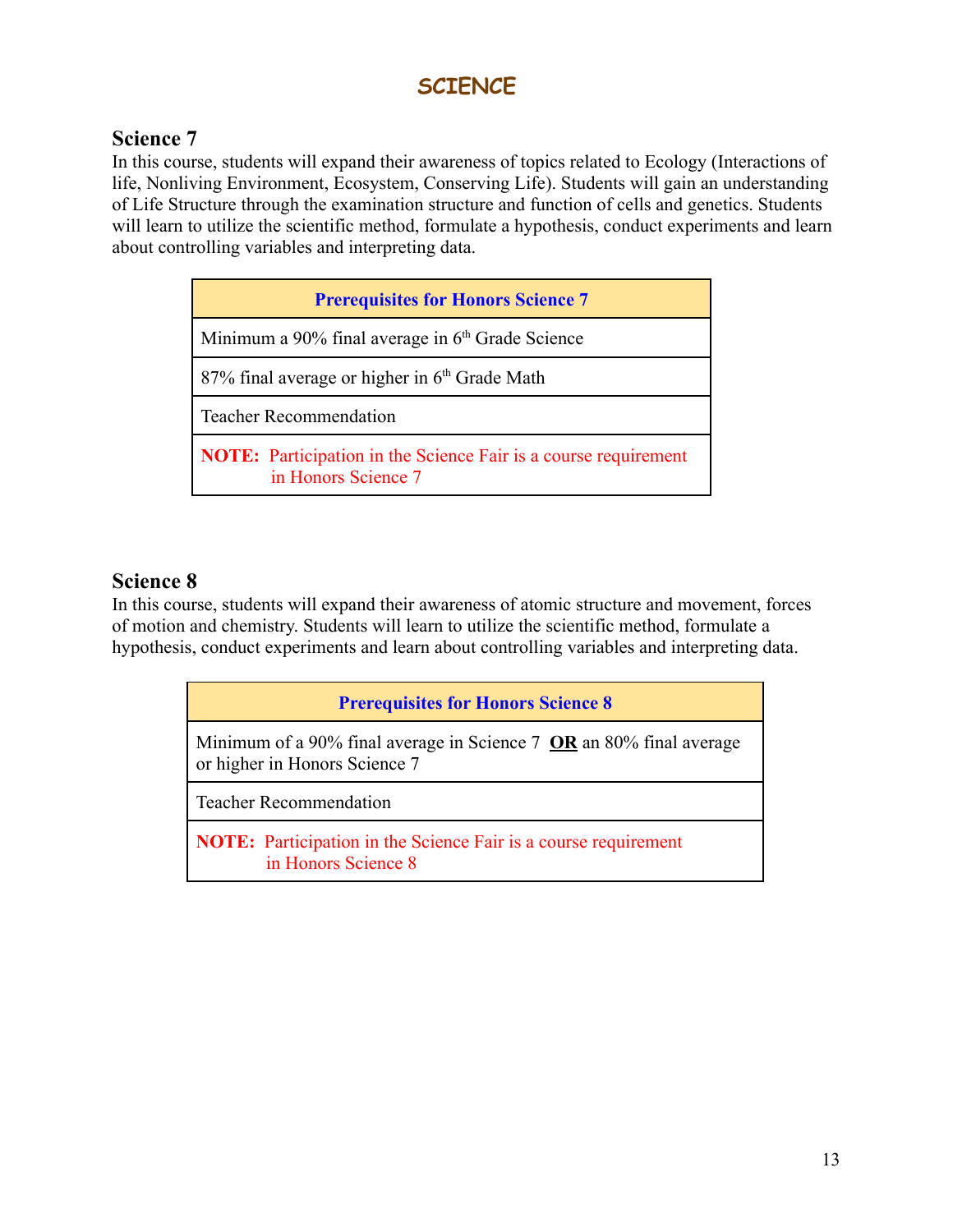# **SCIENCE**

# **Science 7**

In this course, students will expand their awareness of topics related to Ecology (Interactions of life, Nonliving Environment, Ecosystem, Conserving Life). Students will gain an understanding of Life Structure through the examination structure and function of cells and genetics. Students will learn to utilize the scientific method, formulate a hypothesis, conduct experiments and learn about controlling variables and interpreting data.

| <b>Prerequisites for Honors Science 7</b>                                                     |
|-----------------------------------------------------------------------------------------------|
| Minimum a 90% final average in 6 <sup>th</sup> Grade Science                                  |
| $87\%$ final average or higher in $6th$ Grade Math                                            |
| <b>Teacher Recommendation</b>                                                                 |
| <b>NOTE:</b> Participation in the Science Fair is a course requirement<br>in Honors Science 7 |

# **Science 8**

In this course, students will expand their awareness of atomic structure and movement, forces of motion and chemistry. Students will learn to utilize the scientific method, formulate a hypothesis, conduct experiments and learn about controlling variables and interpreting data.

|  | <b>Prerequisites for Honors Science 8</b> |  |  |
|--|-------------------------------------------|--|--|
|--|-------------------------------------------|--|--|

Minimum of a 90% final average in Science 7 **OR** an 80% final average or higher in Honors Science 7

Teacher Recommendation

**NOTE:** Participation in the Science Fair is a course requirement in Honors Science 8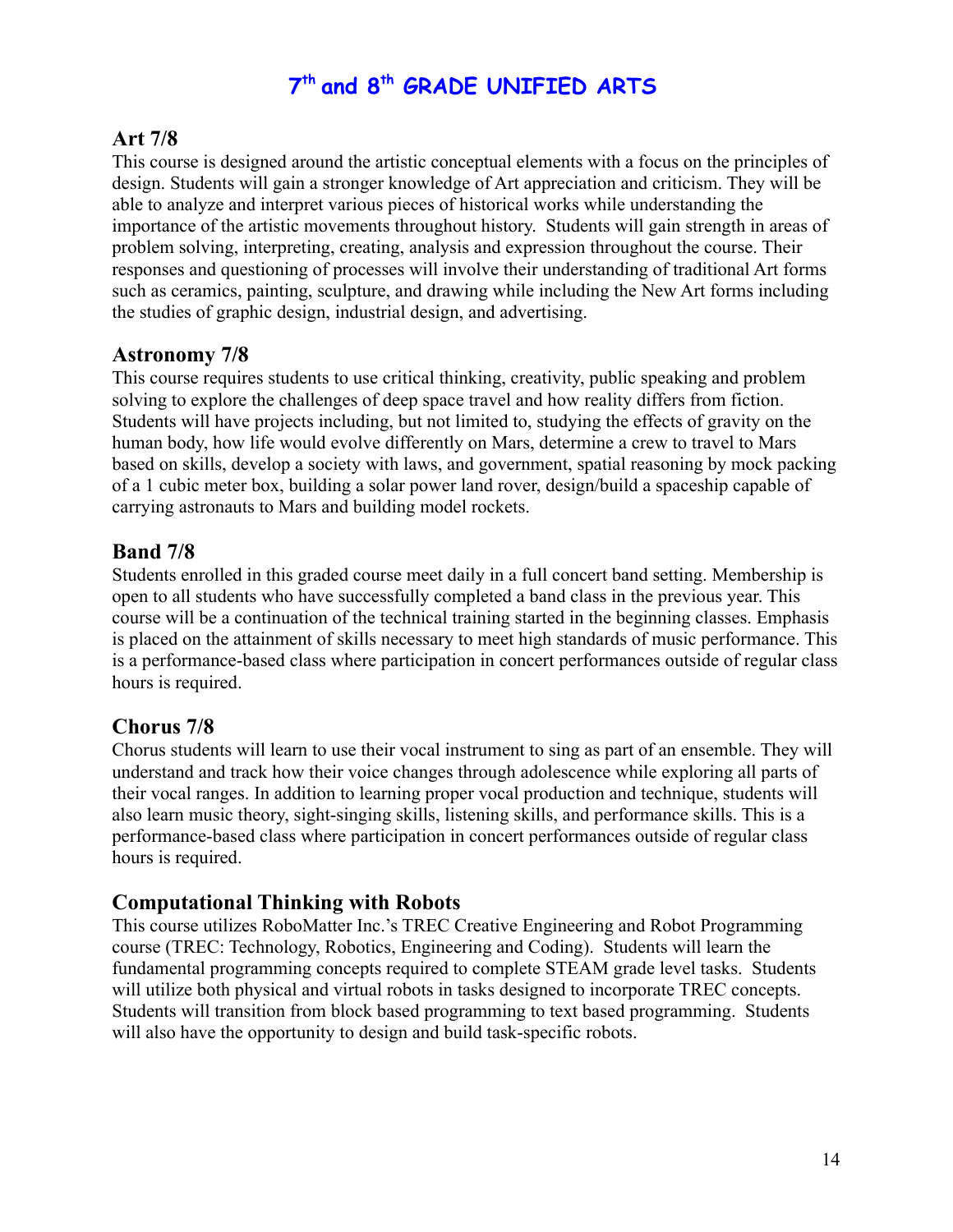# **7 th and 8 th GRADE UNIFIED ARTS**

# **Art 7/8**

This course is designed around the artistic conceptual elements with a focus on the principles of design. Students will gain a stronger knowledge of Art appreciation and criticism. They will be able to analyze and interpret various pieces of historical works while understanding the importance of the artistic movements throughout history. Students will gain strength in areas of problem solving, interpreting, creating, analysis and expression throughout the course. Their responses and questioning of processes will involve their understanding of traditional Art forms such as ceramics, painting, sculpture, and drawing while including the New Art forms including the studies of graphic design, industrial design, and advertising.

# **Astronomy 7/8**

This course requires students to use critical thinking, creativity, public speaking and problem solving to explore the challenges of deep space travel and how reality differs from fiction. Students will have projects including, but not limited to, studying the effects of gravity on the human body, how life would evolve differently on Mars, determine a crew to travel to Mars based on skills, develop a society with laws, and government, spatial reasoning by mock packing of a 1 cubic meter box, building a solar power land rover, design/build a spaceship capable of carrying astronauts to Mars and building model rockets.

# **Band 7/8**

Students enrolled in this graded course meet daily in a full concert band setting. Membership is open to all students who have successfully completed a band class in the previous year. This course will be a continuation of the technical training started in the beginning classes. Emphasis is placed on the attainment of skills necessary to meet high standards of music performance. This is a performance-based class where participation in concert performances outside of regular class hours is required.

# **Chorus 7/8**

Chorus students will learn to use their vocal instrument to sing as part of an ensemble. They will understand and track how their voice changes through adolescence while exploring all parts of their vocal ranges. In addition to learning proper vocal production and technique, students will also learn music theory, sight-singing skills, listening skills, and performance skills. This is a performance-based class where participation in concert performances outside of regular class hours is required.

# **Computational Thinking with Robots**

This course utilizes RoboMatter Inc.'s TREC Creative Engineering and Robot Programming course (TREC: Technology, Robotics, Engineering and Coding). Students will learn the fundamental programming concepts required to complete STEAM grade level tasks. Students will utilize both physical and virtual robots in tasks designed to incorporate TREC concepts. Students will transition from block based programming to text based programming. Students will also have the opportunity to design and build task-specific robots.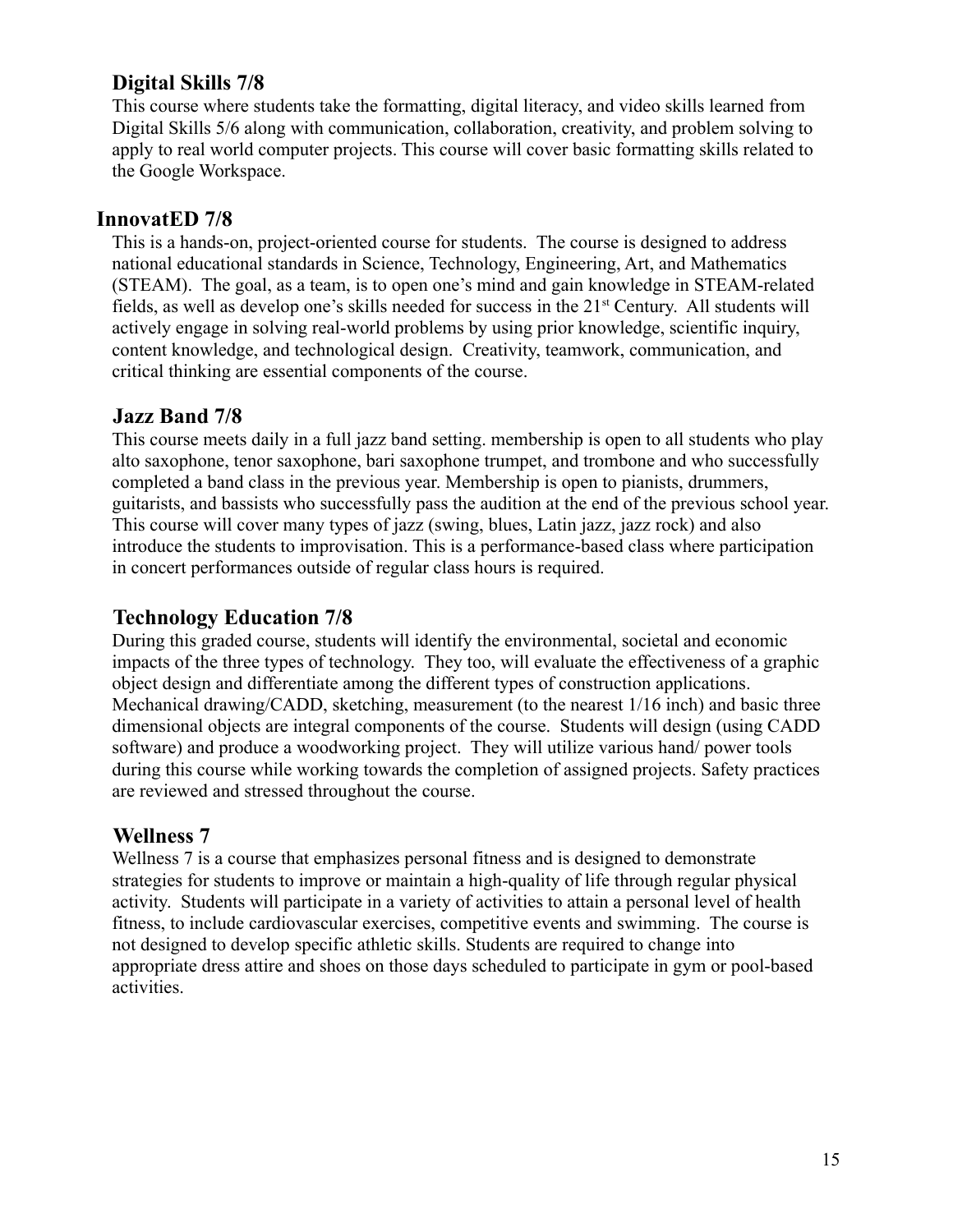# **Digital Skills 7/8**

This course where students take the formatting, digital literacy, and video skills learned from Digital Skills 5/6 along with communication, collaboration, creativity, and problem solving to apply to real world computer projects. This course will cover basic formatting skills related to the Google Workspace.

# **InnovatED 7/8**

This is a hands-on, project-oriented course for students. The course is designed to address national educational standards in Science, Technology, Engineering, Art, and Mathematics (STEAM). The goal, as a team, is to open one's mind and gain knowledge in STEAM-related fields, as well as develop one's skills needed for success in the 21st Century. All students will actively engage in solving real-world problems by using prior knowledge, scientific inquiry, content knowledge, and technological design. Creativity, teamwork, communication, and critical thinking are essential components of the course.

# **Jazz Band 7/8**

This course meets daily in a full jazz band setting. membership is open to all students who play alto saxophone, tenor saxophone, bari saxophone trumpet, and trombone and who successfully completed a band class in the previous year. Membership is open to pianists, drummers, guitarists, and bassists who successfully pass the audition at the end of the previous school year. This course will cover many types of jazz (swing, blues, Latin jazz, jazz rock) and also introduce the students to improvisation. This is a performance-based class where participation in concert performances outside of regular class hours is required.

# **Technology Education 7/8**

During this graded course, students will identify the environmental, societal and economic impacts of the three types of technology. They too, will evaluate the effectiveness of a graphic object design and differentiate among the different types of construction applications. Mechanical drawing/CADD, sketching, measurement (to the nearest 1/16 inch) and basic three dimensional objects are integral components of the course. Students will design (using CADD software) and produce a woodworking project. They will utilize various hand/ power tools during this course while working towards the completion of assigned projects. Safety practices are reviewed and stressed throughout the course.

# **Wellness 7**

Wellness 7 is a course that emphasizes personal fitness and is designed to demonstrate strategies for students to improve or maintain a high-quality of life through regular physical activity. Students will participate in a variety of activities to attain a personal level of health fitness, to include cardiovascular exercises, competitive events and swimming. The course is not designed to develop specific athletic skills. Students are required to change into appropriate dress attire and shoes on those days scheduled to participate in gym or pool-based activities.